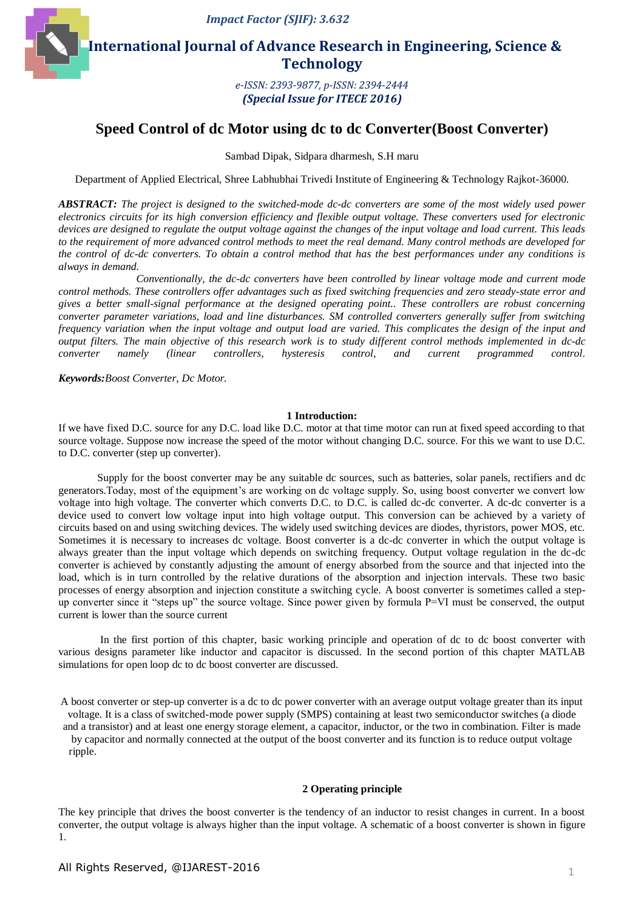

 **International Journal of Advance Research in Engineering, Science & Technology** 

> *e-ISSN: 2393-9877, p-ISSN: 2394-2444 (Special Issue for ITECE 2016)*

# **Speed Control of dc Motor using dc to dc Converter(Boost Converter)**

Sambad Dipak, Sidpara dharmesh, S.H maru

Department of Applied Electrical, Shree Labhubhai Trivedi Institute of Engineering & Technology Rajkot-36000.

*ABSTRACT: The project is designed to the switched-mode dc-dc converters are some of the most widely used power electronics circuits for its high conversion efficiency and flexible output voltage. These converters used for electronic devices are designed to regulate the output voltage against the changes of the input voltage and load current. This leads to the requirement of more advanced control methods to meet the real demand. Many control methods are developed for the control of dc-dc converters. To obtain a control method that has the best performances under any conditions is always in demand.*

*Conventionally, the dc-dc converters have been controlled by linear voltage mode and current mode control methods. These controllers offer advantages such as fixed switching frequencies and zero steady-state error and gives a better small-signal performance at the designed operating point.. These controllers are robust concerning converter parameter variations, load and line disturbances. SM controlled converters generally suffer from switching frequency variation when the input voltage and output load are varied. This complicates the design of the input and output filters. The main objective of this research work is to study different control methods implemented in dc-dc converter namely (linear controllers, hysteresis control, and current programmed control.*

*Keywords:Boost Converter, Dc Motor.*

#### **1 Introduction:**

If we have fixed D.C. source for any D.C. load like D.C. motor at that time motor can run at fixed speed according to that source voltage. Suppose now increase the speed of the motor without changing D.C. source. For this we want to use D.C. to D.C. converter (step up converter).

Supply for the boost converter may be any suitable dc sources, such as batteries, solar panels, rectifiers and dc generators.Today, most of the equipment's are working on dc voltage supply. So, using boost converter we convert low voltage into high voltage. The converter which converts D.C. to D.C. is called dc-dc converter. A dc-dc converter is a device used to convert low voltage input into high voltage output. This conversion can be achieved by a variety of circuits based on and using switching devices. The widely used switching devices are diodes, thyristors, power MOS, etc. Sometimes it is necessary to increases dc voltage. Boost converter is a dc-dc converter in which the output voltage is always greater than the input voltage which depends on switching frequency. Output voltage regulation in the dc-dc converter is achieved by constantly adjusting the amount of energy absorbed from the source and that injected into the load, which is in turn controlled by the relative durations of the absorption and injection intervals. These two basic processes of energy absorption and injection constitute a switching cycle. A boost converter is sometimes called a stepup converter since it "steps up" the source voltage. Since power given by formula P=VI must be conserved, the output current is lower than the source current

In the first portion of this chapter, basic working principle and operation of dc to dc boost converter with various designs parameter like inductor and capacitor is discussed. In the second portion of this chapter MATLAB simulations for open loop dc to dc boost converter are discussed.

A boost converter or step-up converter is a dc to dc power converter with an average output voltage greater than its input voltage. It is a class of switched-mode power supply (SMPS) containing at least two semiconductor switches (a diode and a transistor) and at least one energy storage element, a capacitor, inductor, or the two in combination. Filter is made by capacitor and normally connected at the output of the boost converter and its function is to reduce output voltage ripple.

### **2 Operating principle**

The key principle that drives the boost converter is the tendency of an inductor to resist changes in current. In a boost converter, the output voltage is always higher than the input voltage. A schematic of a boost converter is shown in figure 1.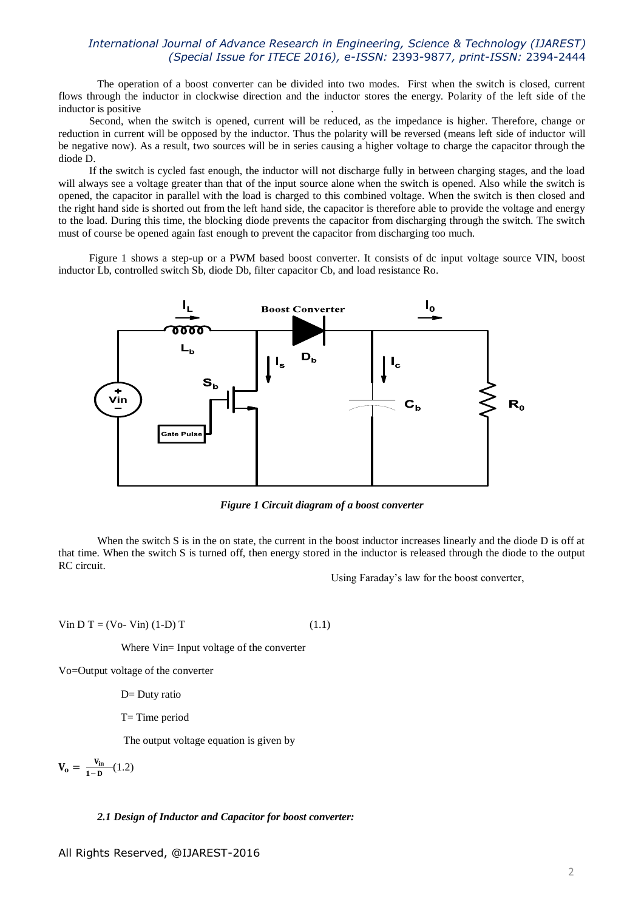The operation of a boost converter can be divided into two modes. First when the switch is closed, current flows through the inductor in clockwise direction and the inductor stores the energy. Polarity of the left side of the inductor is positive .

Second, when the switch is opened, current will be reduced, as the impedance is higher. Therefore, change or reduction in current will be opposed by the inductor. Thus the polarity will be reversed (means left side of inductor will be negative now). As a result, two sources will be in series causing a higher voltage to charge the capacitor through the diode D.

If the switch is cycled fast enough, the inductor will not discharge fully in between charging stages, and the load will always see a voltage greater than that of the input source alone when the switch is opened. Also while the switch is opened, the capacitor in parallel with the load is charged to this combined voltage. When the switch is then closed and the right hand side is shorted out from the left hand side, the capacitor is therefore able to provide the voltage and energy to the load. During this time, the blocking diode prevents the capacitor from discharging through the switch. The switch must of course be opened again fast enough to prevent the capacitor from discharging too much.

Figure 1 shows a step-up or a PWM based boost converter. It consists of dc input voltage source VIN, boost inductor Lb, controlled switch Sb, diode Db, filter capacitor Cb, and load resistance Ro.



*Figure 1 Circuit diagram of a boost converter*

When the switch S is in the on state, the current in the boost inductor increases linearly and the diode D is off at that time. When the switch S is turned off, then energy stored in the inductor is released through the diode to the output RC circuit.

Using Faraday's law for the boost converter,

Vin D T = (Vo- Vin) (1-D) T (1.1)

Where Vin= Input voltage of the converter

Vo=Output voltage of the converter

D= Duty ratio

T= Time period

The output voltage equation is given by

$$
\mathbf{V_o} = \frac{\mathbf{V_{in}}}{1 - \mathbf{D}} (1.2)
$$

### *2.1 Design of Inductor and Capacitor for boost converter:*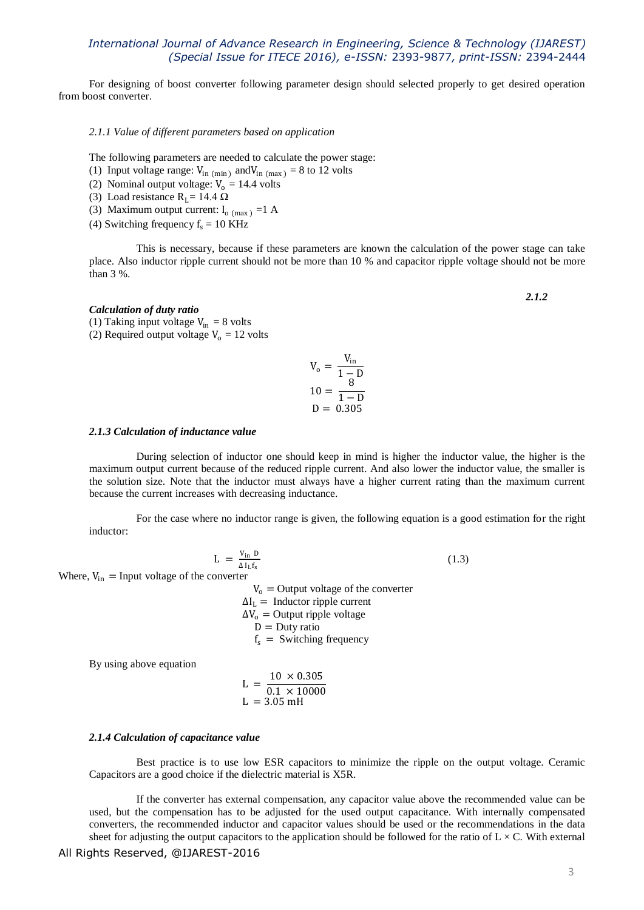For designing of boost converter following parameter design should selected properly to get desired operation from boost converter.

*2.1.1 Value of different parameters based on application*

The following parameters are needed to calculate the power stage:

- (1) Input voltage range:  $V_{\text{in (min)}}$  and  $V_{\text{in (max)}} = 8$  to 12 volts
- (2) Nominal output voltage:  $V_0 = 14.4$  volts
- (3) Load resistance R<sub>L</sub>= 14.4  $\Omega$
- (3) Maximum output current:  $I_{o \text{ (max)}} = 1$  A
- (4) Switching frequency  $f_s = 10$  KHz

This is necessary, because if these parameters are known the calculation of the power stage can take place. Also inductor ripple current should not be more than 10 % and capacitor ripple voltage should not be more than 3 %.

#### *Calculation of duty ratio*

(1) Taking input voltage  $V_{in} = 8$  volts

(2) Required output voltage  $V_0 = 12$  volts

$$
V_o = \frac{V_{in}}{1 - D}
$$

$$
10 = \frac{8}{1 - D}
$$

$$
D = 0.305
$$

#### *2.1.3 Calculation of inductance value*

During selection of inductor one should keep in mind is higher the inductor value, the higher is the maximum output current because of the reduced ripple current. And also lower the inductor value, the smaller is the solution size. Note that the inductor must always have a higher current rating than the maximum current because the current increases with decreasing inductance.

For the case where no inductor range is given, the following equation is a good estimation for the right inductor:

$$
L = \frac{V_{in} D}{\Delta I_L f_s} \tag{1.3}
$$

Where,  $V_{in}$  = Input voltage of the converter

 $V_0$  = Output voltage of the converter  $\Delta I_L$  = Inductor ripple current  $\Delta V_0$  = Output ripple voltage  $D = Duty$  ratio  $f_s$  = Switching frequency

By using above equation

$$
L = \frac{10 \times 0.305}{0.1 \times 10000}
$$
  

$$
L = 3.05 \text{ mH}
$$

#### *2.1.4 Calculation of capacitance value*

Best practice is to use low ESR capacitors to minimize the ripple on the output voltage. Ceramic Capacitors are a good choice if the dielectric material is X5R.

If the converter has external compensation, any capacitor value above the recommended value can be used, but the compensation has to be adjusted for the used output capacitance. With internally compensated converters, the recommended inductor and capacitor values should be used or the recommendations in the data sheet for adjusting the output capacitors to the application should be followed for the ratio of  $L \times C$ . With external

*2.1.2*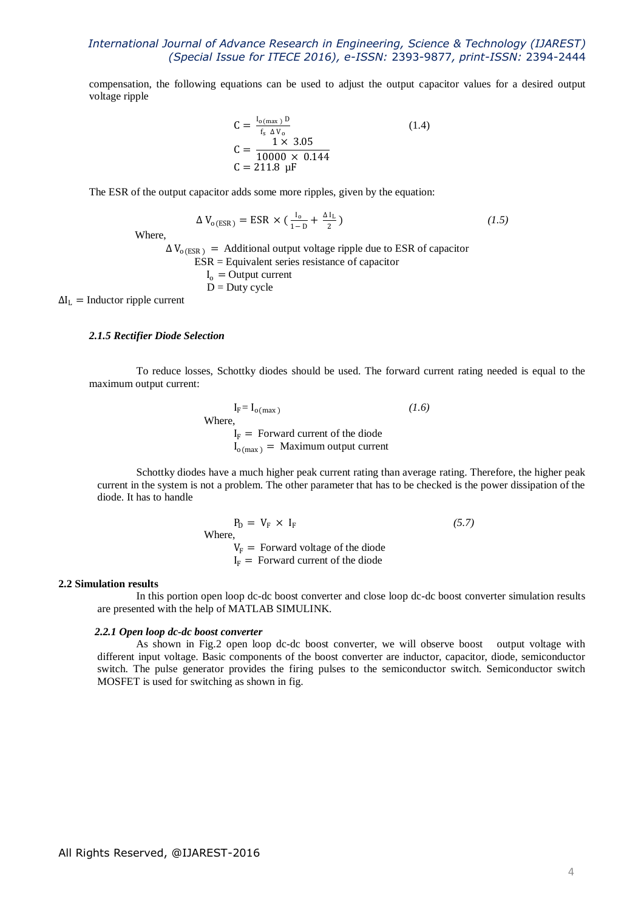compensation, the following equations can be used to adjust the output capacitor values for a desired output voltage ripple

$$
C = \frac{I_{o(max)} D}{f_s \Delta V_o}
$$
  
\n
$$
C = \frac{1 \times 3.05}{10000 \times 0.144}
$$
  
\n
$$
C = 211.8 \mu F
$$
 (1.4)

The ESR of the output capacitor adds some more ripples, given by the equation:

$$
\Delta V_{o(ESR)} = ESR \times (\frac{I_o}{1 - D} + \frac{\Delta I_L}{2})
$$
\n(1.5)

Where,

 $\Delta V_{o(ESR)}$  = Additional output voltage ripple due to ESR of capacitor

$$
ESR = Equivalent series resistance of capacitor \nIo = Output current \nD = Duty cycle
$$

 $\Delta I_L$  = Inductor ripple current

#### *2.1.5 Rectifier Diode Selection*

To reduce losses, Schottky diodes should be used. The forward current rating needed is equal to the maximum output current:

> $I_F = I_{o(max)}$ *(1.6)* Where,  $I_F$  = Forward current of the diode  $I_{o(max)}$  = Maximum output current

Schottky diodes have a much higher peak current rating than average rating. Therefore, the higher peak current in the system is not a problem. The other parameter that has to be checked is the power dissipation of the diode. It has to handle

$$
P_D = V_F \times I_F
$$
 (5.7)  
Where,  

$$
V_F = Forward voltage of the diode
$$

$$
I_F = Forward current of the diode
$$

#### **2.2 Simulation results**

In this portion open loop dc-dc boost converter and close loop dc-dc boost converter simulation results are presented with the help of MATLAB SIMULINK.

#### *2.2.1 Open loop dc-dc boost converter*

As shown in Fig.2 open loop dc-dc boost converter, we will observe boost output voltage with different input voltage. Basic components of the boost converter are inductor, capacitor, diode, semiconductor switch. The pulse generator provides the firing pulses to the semiconductor switch. Semiconductor switch MOSFET is used for switching as shown in fig.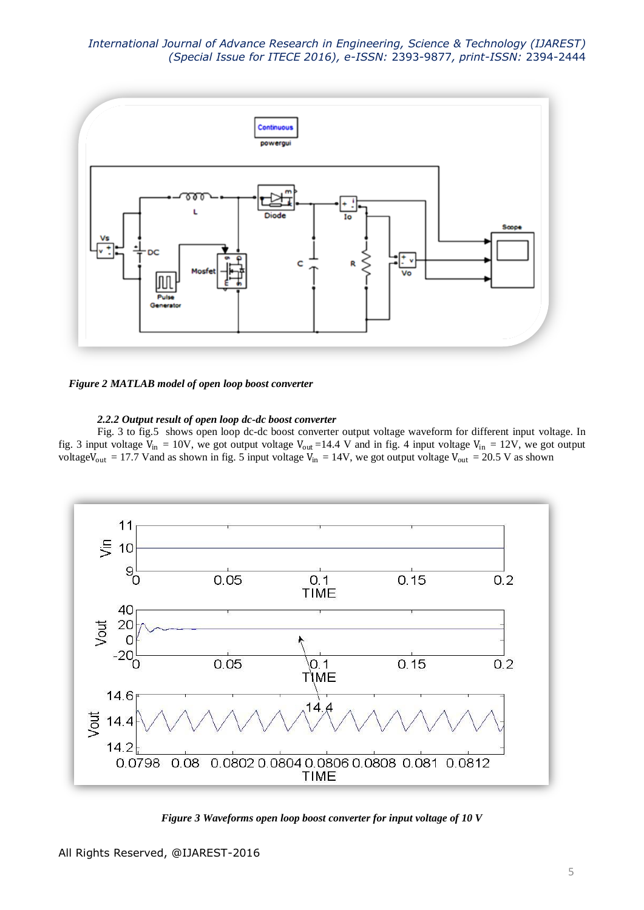

*Figure 2 MATLAB model of open loop boost converter*

### *2.2.2 Output result of open loop dc-dc boost converter*

Fig. 3 to fig.5 shows open loop dc-dc boost converter output voltage waveform for different input voltage. In fig. 3 input voltage  $V_{in} = 10V$ , we got output voltage  $V_{out} = 14.4 V$  and in fig. 4 input voltage  $V_{in} = 12V$ , we got output voltage $V_{out}$  = 17.7 Vand as shown in fig. 5 input voltage  $V_{in}$  = 14V, we got output voltage  $V_{out}$  = 20.5 V as shown



*Figure 3 Waveforms open loop boost converter for input voltage of 10 V*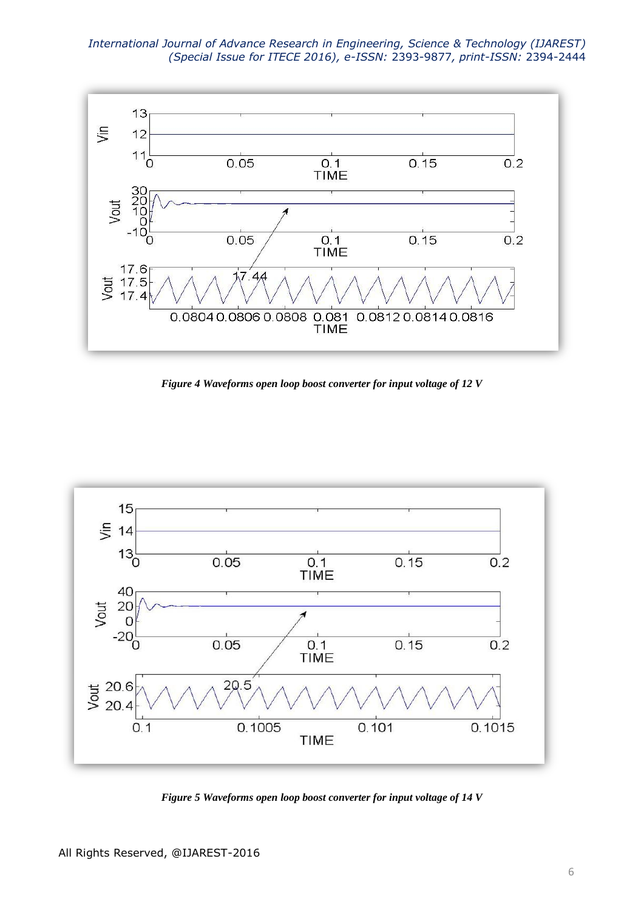

*Figure 4 Waveforms open loop boost converter for input voltage of 12 V*



*Figure 5 Waveforms open loop boost converter for input voltage of 14 V*